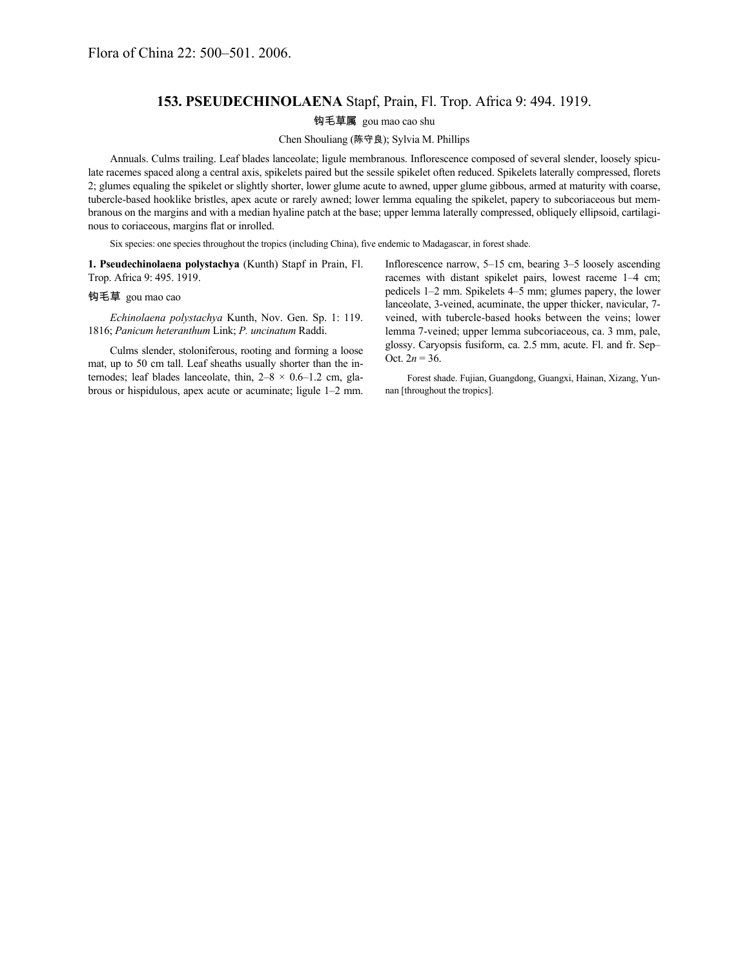## **153. PSEUDECHINOLAENA** Stapf, Prain, Fl. Trop. Africa 9: 494. 1919.

## 钩毛草属 gou mao cao shu

## Chen Shouliang (陈守良); Sylvia M. Phillips

Annuals. Culms trailing. Leaf blades lanceolate; ligule membranous. Inflorescence composed of several slender, loosely spiculate racemes spaced along a central axis, spikelets paired but the sessile spikelet often reduced. Spikelets laterally compressed, florets 2; glumes equaling the spikelet or slightly shorter, lower glume acute to awned, upper glume gibbous, armed at maturity with coarse, tubercle-based hooklike bristles, apex acute or rarely awned; lower lemma equaling the spikelet, papery to subcoriaceous but membranous on the margins and with a median hyaline patch at the base; upper lemma laterally compressed, obliquely ellipsoid, cartilaginous to coriaceous, margins flat or inrolled.

Six species: one species throughout the tropics (including China), five endemic to Madagascar, in forest shade.

**1. Pseudechinolaena polystachya** (Kunth) Stapf in Prain, Fl. Trop. Africa 9: 495. 1919.

## 钩毛草 gou mao cao

*Echinolaena polystachya* Kunth, Nov. Gen. Sp. 1: 119. 1816; *Panicum heteranthum* Link; *P. uncinatum* Raddi.

Culms slender, stoloniferous, rooting and forming a loose mat, up to 50 cm tall. Leaf sheaths usually shorter than the internodes; leaf blades lanceolate, thin,  $2-8 \times 0.6-1.2$  cm, glabrous or hispidulous, apex acute or acuminate; ligule 1–2 mm.

Inflorescence narrow, 5–15 cm, bearing 3–5 loosely ascending racemes with distant spikelet pairs, lowest raceme 1–4 cm; pedicels 1–2 mm. Spikelets 4–5 mm; glumes papery, the lower lanceolate, 3-veined, acuminate, the upper thicker, navicular, 7 veined, with tubercle-based hooks between the veins; lower lemma 7-veined; upper lemma subcoriaceous, ca. 3 mm, pale, glossy. Caryopsis fusiform, ca. 2.5 mm, acute. Fl. and fr. Sep– Oct.  $2n = 36$ .

Forest shade. Fujian, Guangdong, Guangxi, Hainan, Xizang, Yunnan [throughout the tropics].